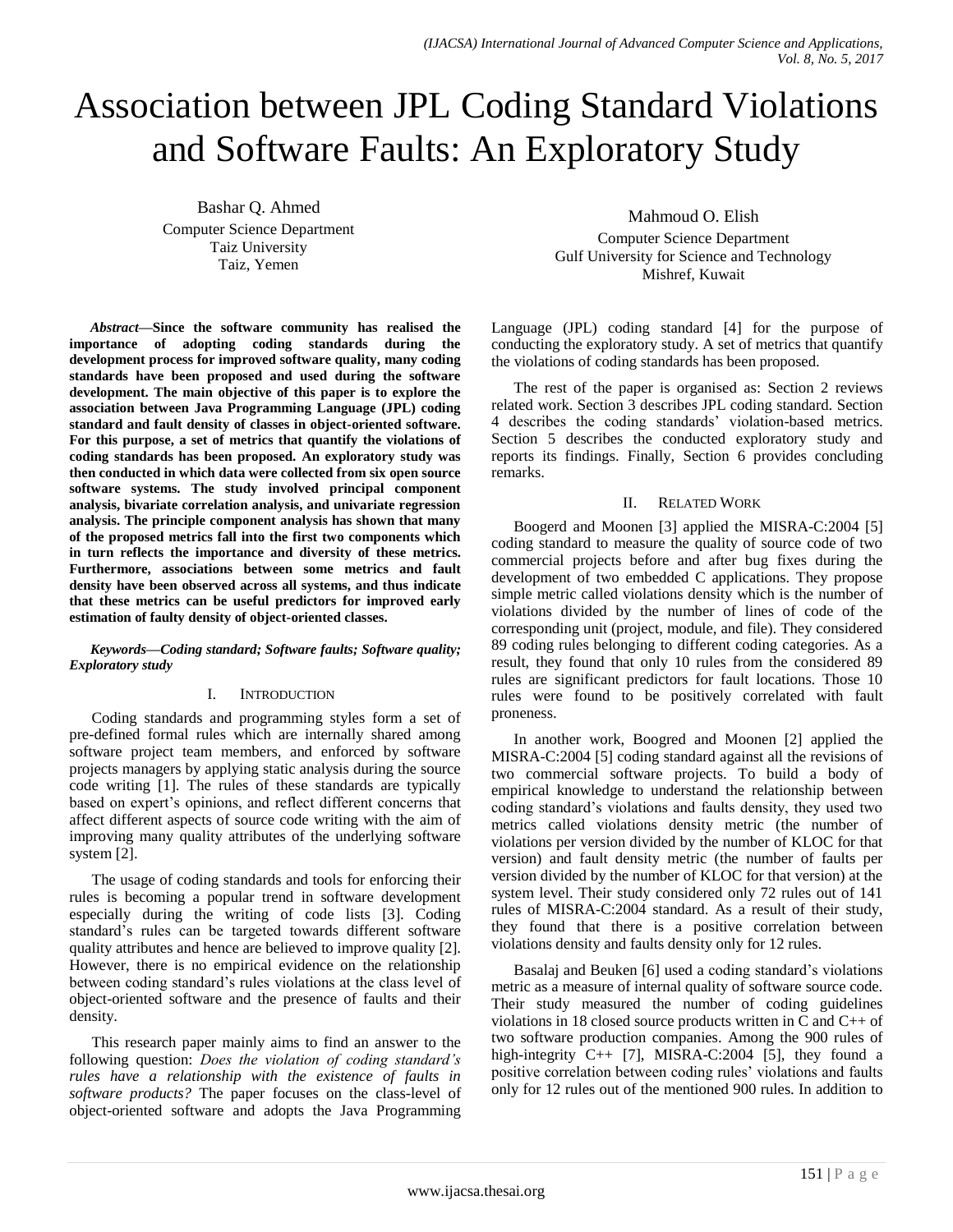# Association between JPL Coding Standard Violations and Software Faults: An Exploratory Study

Bashar Q. Ahmed Computer Science Department Taiz University Taiz, Yemen

*Abstract***—Since the software community has realised the importance of adopting coding standards during the development process for improved software quality, many coding standards have been proposed and used during the software development. The main objective of this paper is to explore the association between Java Programming Language (JPL) coding standard and fault density of classes in object-oriented software. For this purpose, a set of metrics that quantify the violations of coding standards has been proposed. An exploratory study was then conducted in which data were collected from six open source software systems. The study involved principal component analysis, bivariate correlation analysis, and univariate regression analysis. The principle component analysis has shown that many of the proposed metrics fall into the first two components which in turn reflects the importance and diversity of these metrics. Furthermore, associations between some metrics and fault density have been observed across all systems, and thus indicate that these metrics can be useful predictors for improved early estimation of faulty density of object-oriented classes.**

*Keywords—Coding standard; Software faults; Software quality; Exploratory study*

#### I. INTRODUCTION

Coding standards and programming styles form a set of pre-defined formal rules which are internally shared among software project team members, and enforced by software projects managers by applying static analysis during the source code writing [1]. The rules of these standards are typically based on expert's opinions, and reflect different concerns that affect different aspects of source code writing with the aim of improving many quality attributes of the underlying software system [2].

The usage of coding standards and tools for enforcing their rules is becoming a popular trend in software development especially during the writing of code lists [3]. Coding standard's rules can be targeted towards different software quality attributes and hence are believed to improve quality [2]. However, there is no empirical evidence on the relationship between coding standard's rules violations at the class level of object-oriented software and the presence of faults and their density.

This research paper mainly aims to find an answer to the following question: *Does the violation of coding standard's rules have a relationship with the existence of faults in software products?* The paper focuses on the class-level of object-oriented software and adopts the Java Programming

Mahmoud O. Elish Computer Science Department Gulf University for Science and Technology Mishref, Kuwait

Language (JPL) coding standard [4] for the purpose of conducting the exploratory study. A set of metrics that quantify the violations of coding standards has been proposed.

The rest of the paper is organised as: Section 2 reviews related work. Section 3 describes JPL coding standard. Section 4 describes the coding standards' violation-based metrics. Section 5 describes the conducted exploratory study and reports its findings. Finally, Section 6 provides concluding remarks.

#### II. RELATED WORK

Boogerd and Moonen [3] applied the MISRA-C:2004 [5] coding standard to measure the quality of source code of two commercial projects before and after bug fixes during the development of two embedded C applications. They propose simple metric called violations density which is the number of violations divided by the number of lines of code of the corresponding unit (project, module, and file). They considered 89 coding rules belonging to different coding categories. As a result, they found that only 10 rules from the considered 89 rules are significant predictors for fault locations. Those 10 rules were found to be positively correlated with fault proneness.

In another work, Boogred and Moonen [2] applied the MISRA-C:2004 [5] coding standard against all the revisions of two commercial software projects. To build a body of empirical knowledge to understand the relationship between coding standard's violations and faults density, they used two metrics called violations density metric (the number of violations per version divided by the number of KLOC for that version) and fault density metric (the number of faults per version divided by the number of KLOC for that version) at the system level. Their study considered only 72 rules out of 141 rules of MISRA-C:2004 standard. As a result of their study, they found that there is a positive correlation between violations density and faults density only for 12 rules.

Basalaj and Beuken [6] used a coding standard's violations metric as a measure of internal quality of software source code. Their study measured the number of coding guidelines violations in 18 closed source products written in C and C++ of two software production companies. Among the 900 rules of high-integrity  $C_{++}$  [7], MISRA-C:2004 [5], they found a positive correlation between coding rules' violations and faults only for 12 rules out of the mentioned 900 rules. In addition to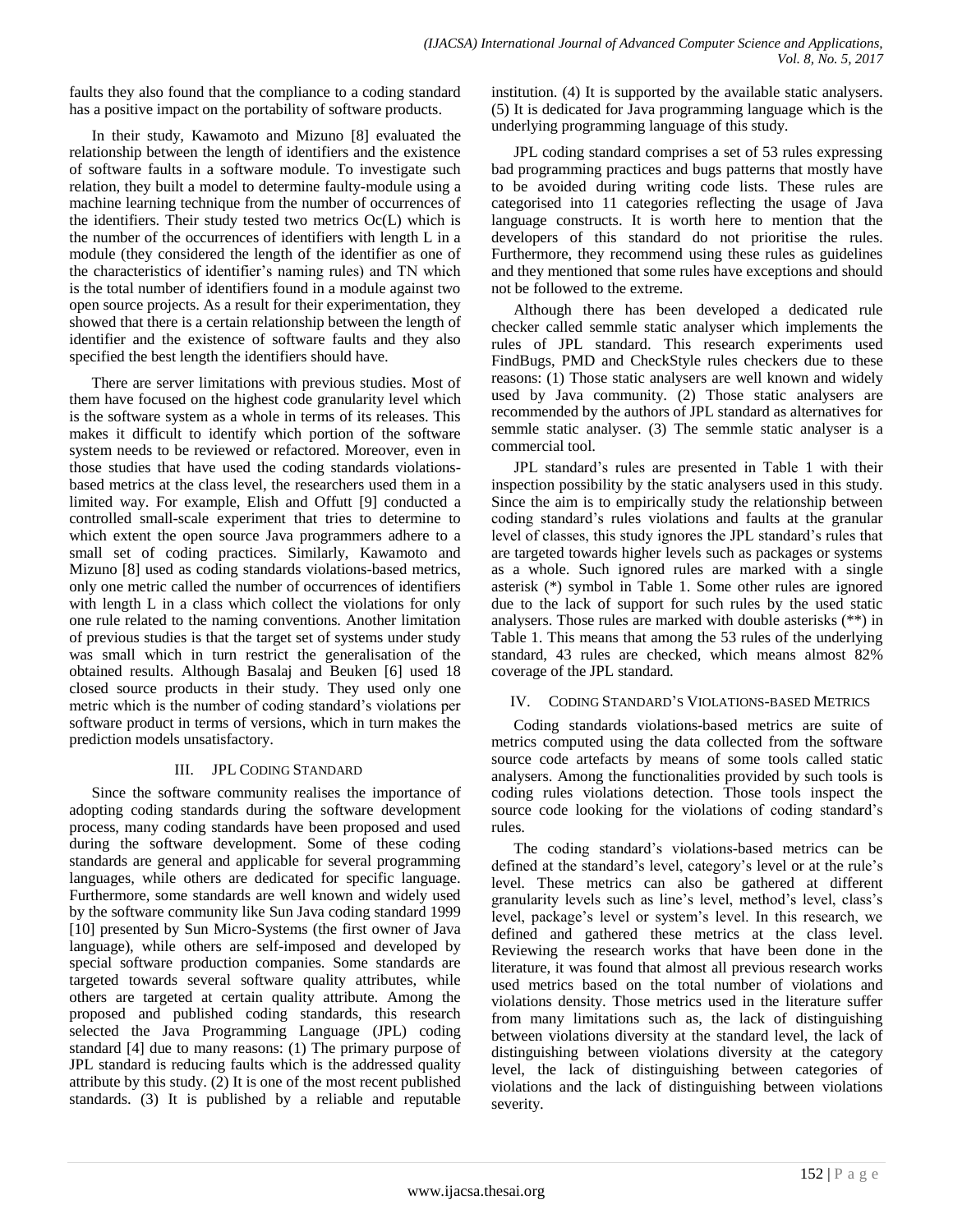faults they also found that the compliance to a coding standard has a positive impact on the portability of software products.

In their study, Kawamoto and Mizuno [8] evaluated the relationship between the length of identifiers and the existence of software faults in a software module. To investigate such relation, they built a model to determine faulty-module using a machine learning technique from the number of occurrences of the identifiers. Their study tested two metrics Oc(L) which is the number of the occurrences of identifiers with length L in a module (they considered the length of the identifier as one of the characteristics of identifier's naming rules) and TN which is the total number of identifiers found in a module against two open source projects. As a result for their experimentation, they showed that there is a certain relationship between the length of identifier and the existence of software faults and they also specified the best length the identifiers should have.

There are server limitations with previous studies. Most of them have focused on the highest code granularity level which is the software system as a whole in terms of its releases. This makes it difficult to identify which portion of the software system needs to be reviewed or refactored. Moreover, even in those studies that have used the coding standards violationsbased metrics at the class level, the researchers used them in a limited way. For example, Elish and Offutt [9] conducted a controlled small-scale experiment that tries to determine to which extent the open source Java programmers adhere to a small set of coding practices. Similarly, Kawamoto and Mizuno [8] used as coding standards violations-based metrics, only one metric called the number of occurrences of identifiers with length L in a class which collect the violations for only one rule related to the naming conventions. Another limitation of previous studies is that the target set of systems under study was small which in turn restrict the generalisation of the obtained results. Although Basalaj and Beuken [6] used 18 closed source products in their study. They used only one metric which is the number of coding standard's violations per software product in terms of versions, which in turn makes the prediction models unsatisfactory.

## III. JPL CODING STANDARD

Since the software community realises the importance of adopting coding standards during the software development process, many coding standards have been proposed and used during the software development. Some of these coding standards are general and applicable for several programming languages, while others are dedicated for specific language. Furthermore, some standards are well known and widely used by the software community like Sun Java coding standard 1999 [10] presented by Sun Micro-Systems (the first owner of Java language), while others are self-imposed and developed by special software production companies. Some standards are targeted towards several software quality attributes, while others are targeted at certain quality attribute. Among the proposed and published coding standards, this research selected the Java Programming Language (JPL) coding standard [4] due to many reasons: (1) The primary purpose of JPL standard is reducing faults which is the addressed quality attribute by this study.  $(2)$  It is one of the most recent published standards. (3) It is published by a reliable and reputable institution. (4) It is supported by the available static analysers. (5) It is dedicated for Java programming language which is the underlying programming language of this study.

JPL coding standard comprises a set of 53 rules expressing bad programming practices and bugs patterns that mostly have to be avoided during writing code lists. These rules are categorised into 11 categories reflecting the usage of Java language constructs. It is worth here to mention that the developers of this standard do not prioritise the rules. Furthermore, they recommend using these rules as guidelines and they mentioned that some rules have exceptions and should not be followed to the extreme.

Although there has been developed a dedicated rule checker called semmle static analyser which implements the rules of JPL standard. This research experiments used FindBugs, PMD and CheckStyle rules checkers due to these reasons: (1) Those static analysers are well known and widely used by Java community. (2) Those static analysers are recommended by the authors of JPL standard as alternatives for semmle static analyser. (3) The semmle static analyser is a commercial tool.

JPL standard's rules are presented in Table 1 with their inspection possibility by the static analysers used in this study. Since the aim is to empirically study the relationship between coding standard's rules violations and faults at the granular level of classes, this study ignores the JPL standard's rules that are targeted towards higher levels such as packages or systems as a whole. Such ignored rules are marked with a single asterisk (\*) symbol in Table 1. Some other rules are ignored due to the lack of support for such rules by the used static analysers. Those rules are marked with double asterisks (\*\*) in Table 1. This means that among the 53 rules of the underlying standard, 43 rules are checked, which means almost 82% coverage of the JPL standard.

## IV. CODING STANDARD'S VIOLATIONS-BASED METRICS

Coding standards violations-based metrics are suite of metrics computed using the data collected from the software source code artefacts by means of some tools called static analysers. Among the functionalities provided by such tools is coding rules violations detection. Those tools inspect the source code looking for the violations of coding standard's rules.

The coding standard's violations-based metrics can be defined at the standard's level, category's level or at the rule's level. These metrics can also be gathered at different granularity levels such as line's level, method's level, class's level, package's level or system's level. In this research, we defined and gathered these metrics at the class level. Reviewing the research works that have been done in the literature, it was found that almost all previous research works used metrics based on the total number of violations and violations density. Those metrics used in the literature suffer from many limitations such as, the lack of distinguishing between violations diversity at the standard level, the lack of distinguishing between violations diversity at the category level, the lack of distinguishing between categories of violations and the lack of distinguishing between violations severity.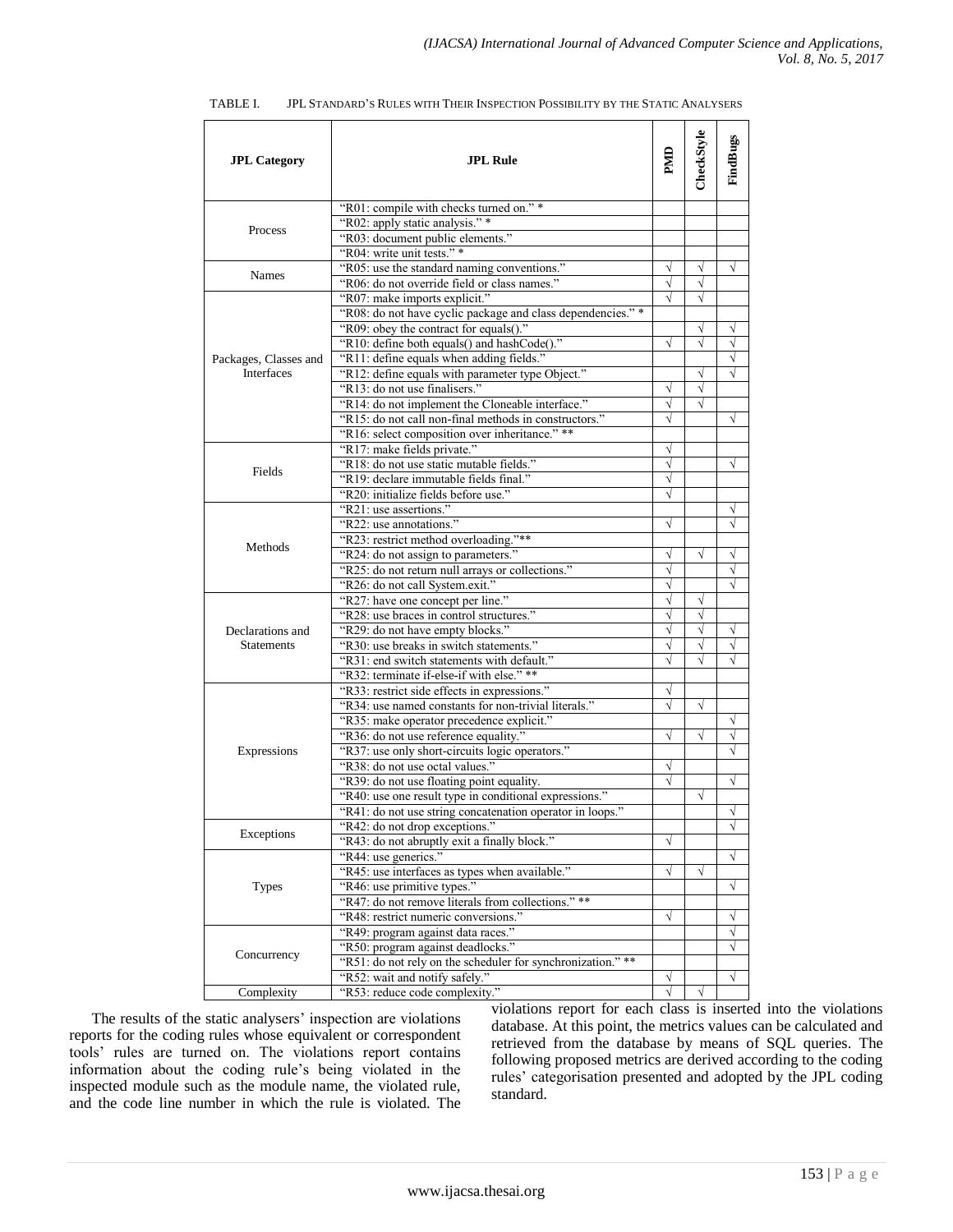| <b>JPL Category</b>                 | <b>JPL Rule</b>                                                                             | PM        | CheckStyle | FindBugs  |
|-------------------------------------|---------------------------------------------------------------------------------------------|-----------|------------|-----------|
|                                     | "R01: compile with checks turned on." *                                                     |           |            |           |
|                                     | "R02: apply static analysis." *                                                             |           |            |           |
| Process                             | "R03: document public elements."                                                            |           |            |           |
|                                     | "R04: write unit tests." *                                                                  |           |            |           |
| <b>Names</b>                        | "R05: use the standard naming conventions."                                                 | V         | V          | V         |
|                                     | "R06: do not override field or class names."                                                | $\sqrt{}$ | $\sqrt{}$  |           |
|                                     | "R07: make imports explicit."                                                               |           | $\sqrt{}$  |           |
|                                     | "R08: do not have cyclic package and class dependencies." *                                 |           |            |           |
|                                     | "R09: obey the contract for equals()."                                                      |           | V          | V         |
|                                     | "R10: define both equals() and hashCode()."                                                 |           | $\sqrt{}$  | √         |
| Packages, Classes and<br>Interfaces | "R11: define equals when adding fields."                                                    |           |            | $\sqrt{}$ |
|                                     | "R12: define equals with parameter type Object."                                            |           | V          |           |
|                                     | "R13: do not use finalisers."                                                               |           |            |           |
|                                     | "R14: do not implement the Cloneable interface."                                            | $\sqrt{}$ | √          |           |
|                                     | "R15: do not call non-final methods in constructors."                                       | V         |            | $\sqrt{}$ |
|                                     | "R16: select composition over inheritance." **                                              |           |            |           |
|                                     | "R17: make fields private."                                                                 |           |            |           |
|                                     | "R18: do not use static mutable fields."                                                    |           |            | V         |
| Fields                              | "R19: declare immutable fields final."                                                      | $\sqrt{}$ |            |           |
|                                     | "R20: initialize fields before use."                                                        | V         |            |           |
|                                     | "R21: use assertions."                                                                      |           |            |           |
|                                     | "R22: use annotations."                                                                     | V         |            |           |
| Methods                             | "R23: restrict method overloading."**                                                       |           |            |           |
|                                     | "R24: do not assign to parameters."                                                         | V         | √          | $\sqrt{}$ |
|                                     | "R25: do not return null arrays or collections."                                            | V         |            | V         |
|                                     | "R26: do not call System.exit."                                                             |           |            |           |
|                                     | "R27: have one concept per line."                                                           | $\sqrt{}$ | V          |           |
|                                     | "R28: use braces in control structures."                                                    | V         | √          |           |
| Declarations and                    | "R29: do not have empty blocks."                                                            |           | $\sqrt{}$  | $\sqrt{}$ |
| <b>Statements</b>                   | "R30: use breaks in switch statements."                                                     | $\sqrt{}$ | $\sqrt{}$  | V         |
|                                     | "R31: end switch statements with default."                                                  |           |            |           |
|                                     | "R32: terminate if-else-if with else." **                                                   |           |            |           |
|                                     | "R33: restrict side effects in expressions."                                                |           |            |           |
|                                     | "R34: use named constants for non-trivial literals."                                        |           | $\sqrt{}$  |           |
|                                     |                                                                                             |           |            | V         |
|                                     | "R35: make operator precedence explicit."<br>"R36: do not use reference equality."          |           | $\sqrt{}$  | V         |
|                                     | "R37: use only short-circuits logic operators."                                             |           |            |           |
| Expressions                         | "R38: do not use octal values."                                                             |           |            |           |
|                                     | "R39: do not use floating point equality.                                                   |           |            | V         |
|                                     | "R40: use one result type in conditional expressions."                                      |           | √          |           |
|                                     |                                                                                             |           |            | $\sqrt{}$ |
|                                     | "R41: do not use string concatenation operator in loops."<br>"R42: do not drop exceptions." |           |            |           |
| Exceptions                          | "R43: do not abruptly exit a finally block."                                                | $\sqrt{}$ |            | $\sqrt{}$ |
|                                     |                                                                                             |           |            |           |
|                                     | "R44: use generics."                                                                        |           |            | √         |
|                                     | "R45: use interfaces as types when available."                                              | $\sqrt{}$ | $\sqrt{}$  |           |
| <b>Types</b>                        | "R46: use primitive types."                                                                 |           |            | V         |
|                                     | "R47: do not remove literals from collections." **                                          |           |            |           |
|                                     | "R48: restrict numeric conversions."                                                        | $\sqrt{}$ |            | V         |
|                                     | "R49: program against data races."                                                          |           |            | V         |
| Concurrency                         | "R50: program against deadlocks."                                                           |           |            |           |
|                                     | "R51: do not rely on the scheduler for synchronization." **                                 |           |            |           |
|                                     | "R52: wait and notify safely."                                                              | $\sqrt{}$ |            | $\sqrt{}$ |
| Complexity                          | "R53: reduce code complexity."                                                              | $\sqrt{}$ | $\sqrt{}$  |           |

| JPL STANDARD'S RULES WITH THEIR INSPECTION POSSIBILITY BY THE STATIC ANALYSERS<br>TABLE I. |  |
|--------------------------------------------------------------------------------------------|--|
|--------------------------------------------------------------------------------------------|--|

The results of the static analysers' inspection are violations reports for the coding rules whose equivalent or correspondent tools' rules are turned on. The violations report contains information about the coding rule's being violated in the inspected module such as the module name, the violated rule, and the code line number in which the rule is violated. The violations report for each class is inserted into the violations database. At this point, the metrics values can be calculated and retrieved from the database by means of SQL queries. The following proposed metrics are derived according to the coding rules' categorisation presented and adopted by the JPL coding standard.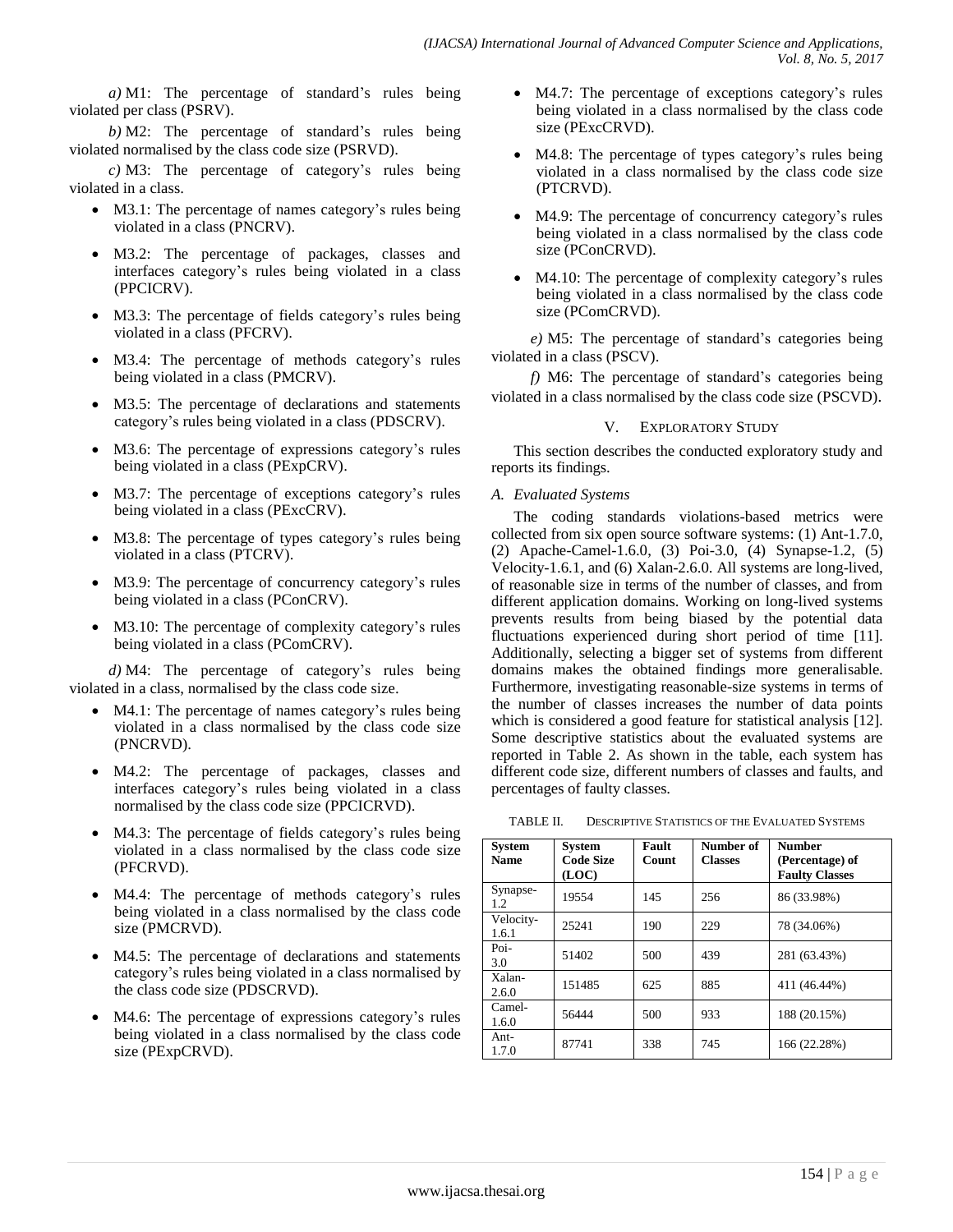*a)* M1: The percentage of standard's rules being violated per class (PSRV).

*b)* M2: The percentage of standard's rules being violated normalised by the class code size (PSRVD).

*c)* M3: The percentage of category's rules being violated in a class.

- M3.1: The percentage of names category's rules being violated in a class (PNCRV).
- M3.2: The percentage of packages, classes and interfaces category's rules being violated in a class (PPCICRV).
- M3.3: The percentage of fields category's rules being violated in a class (PFCRV).
- M3.4: The percentage of methods category's rules being violated in a class (PMCRV).
- M3.5: The percentage of declarations and statements category's rules being violated in a class (PDSCRV).
- M3.6: The percentage of expressions category's rules being violated in a class (PExpCRV).
- M3.7: The percentage of exceptions category's rules being violated in a class (PExcCRV).
- M3.8: The percentage of types category's rules being violated in a class (PTCRV).
- M3.9: The percentage of concurrency category's rules being violated in a class (PConCRV).
- M3.10: The percentage of complexity category's rules being violated in a class (PComCRV).

*d)* M4: The percentage of category's rules being violated in a class, normalised by the class code size.

- M4.1: The percentage of names category's rules being violated in a class normalised by the class code size (PNCRVD).
- M4.2: The percentage of packages, classes and interfaces category's rules being violated in a class normalised by the class code size (PPCICRVD).
- M4.3: The percentage of fields category's rules being violated in a class normalised by the class code size (PFCRVD).
- M4.4: The percentage of methods category's rules being violated in a class normalised by the class code size (PMCRVD).
- M4.5: The percentage of declarations and statements category's rules being violated in a class normalised by the class code size (PDSCRVD).
- M4.6: The percentage of expressions category's rules being violated in a class normalised by the class code size (PExpCRVD).
- M4.7: The percentage of exceptions category's rules being violated in a class normalised by the class code size (PExcCRVD).
- M4.8: The percentage of types category's rules being violated in a class normalised by the class code size (PTCRVD).
- M4.9: The percentage of concurrency category's rules being violated in a class normalised by the class code size (PConCRVD).
- M4.10: The percentage of complexity category's rules being violated in a class normalised by the class code size (PComCRVD).

*e)* M5: The percentage of standard's categories being violated in a class (PSCV).

*f)* M6: The percentage of standard's categories being violated in a class normalised by the class code size (PSCVD).

### V. EXPLORATORY STUDY

This section describes the conducted exploratory study and reports its findings.

#### *A. Evaluated Systems*

The coding standards violations-based metrics were collected from six open source software systems: (1) Ant-1.7.0, (2) Apache-Camel-1.6.0, (3) Poi-3.0, (4) Synapse-1.2, (5) Velocity-1.6.1, and (6) Xalan-2.6.0. All systems are long-lived, of reasonable size in terms of the number of classes, and from different application domains. Working on long-lived systems prevents results from being biased by the potential data fluctuations experienced during short period of time [11]. Additionally, selecting a bigger set of systems from different domains makes the obtained findings more generalisable. Furthermore, investigating reasonable-size systems in terms of the number of classes increases the number of data points which is considered a good feature for statistical analysis [12]. Some descriptive statistics about the evaluated systems are reported in Table 2. As shown in the table, each system has different code size, different numbers of classes and faults, and percentages of faulty classes.

TABLE II. DESCRIPTIVE STATISTICS OF THE EVALUATED SYSTEMS

| <b>System</b><br><b>Name</b> | <b>System</b><br><b>Code Size</b><br>(LOC) | Fault<br>Count | Number of<br><b>Classes</b> | <b>Number</b><br>(Percentage) of<br><b>Faulty Classes</b> |
|------------------------------|--------------------------------------------|----------------|-----------------------------|-----------------------------------------------------------|
| Synapse-<br>1.2              | 19554                                      | 145            | 256                         | 86 (33.98%)                                               |
| Velocity-<br>1.6.1           | 25241                                      | 190            | 229                         | 78 (34.06%)                                               |
| Poi-<br>3.0                  | 51402                                      | 500            | 439                         | 281 (63.43%)                                              |
| Xalan-<br>2.6.0              | 151485                                     | 625            | 885                         | 411 (46.44%)                                              |
| Camel-<br>1.6.0              | 56444                                      | 500            | 933                         | 188 (20.15%)                                              |
| Ant-<br>1.7.0                | 87741                                      | 338            | 745                         | 166 (22.28%)                                              |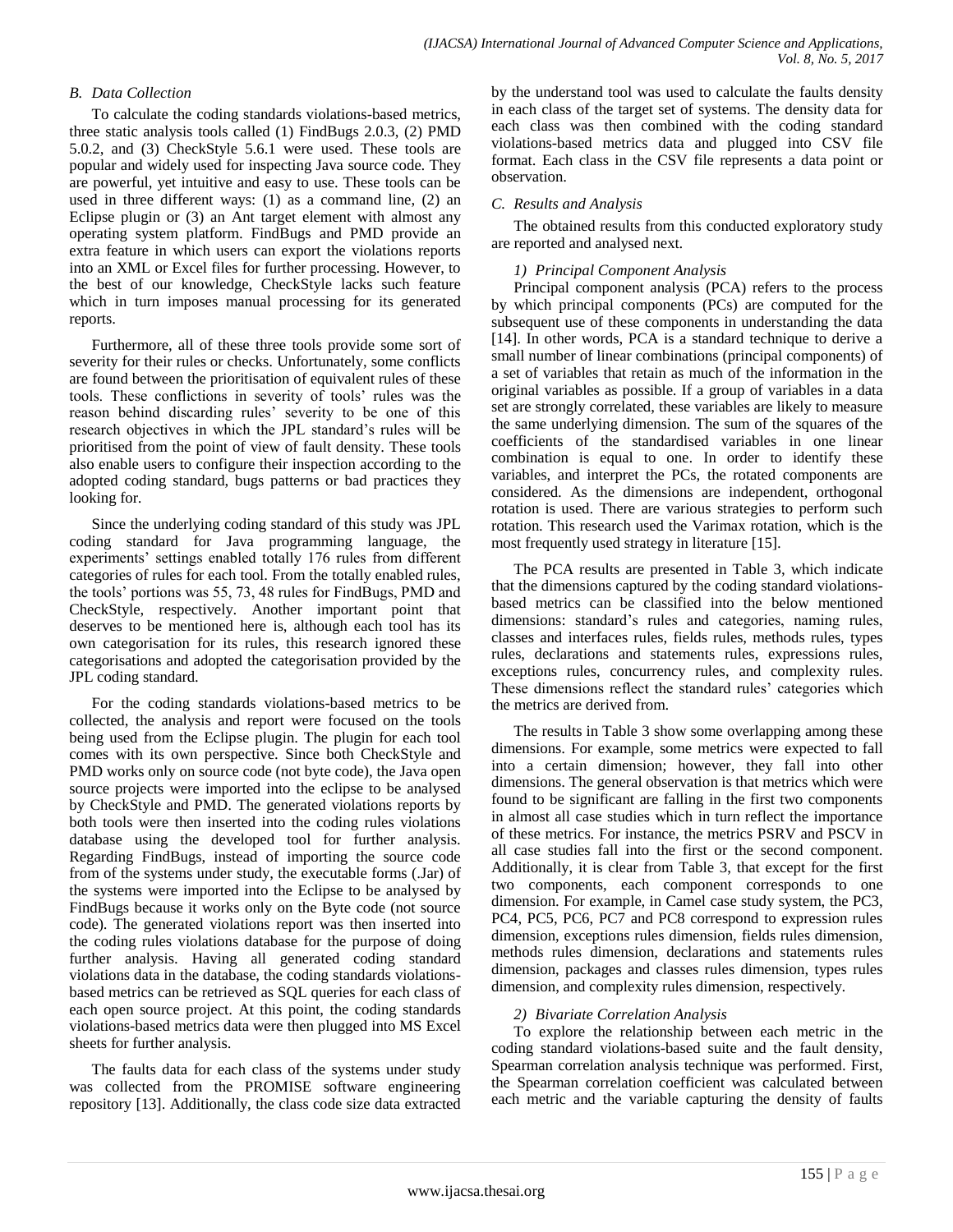## *B. Data Collection*

To calculate the coding standards violations-based metrics, three static analysis tools called (1) FindBugs 2.0.3, (2) PMD 5.0.2, and (3) CheckStyle 5.6.1 were used. These tools are popular and widely used for inspecting Java source code. They are powerful, yet intuitive and easy to use. These tools can be used in three different ways: (1) as a command line, (2) an Eclipse plugin or (3) an Ant target element with almost any operating system platform. FindBugs and PMD provide an extra feature in which users can export the violations reports into an XML or Excel files for further processing. However, to the best of our knowledge, CheckStyle lacks such feature which in turn imposes manual processing for its generated reports.

Furthermore, all of these three tools provide some sort of severity for their rules or checks. Unfortunately, some conflicts are found between the prioritisation of equivalent rules of these tools. These conflictions in severity of tools' rules was the reason behind discarding rules' severity to be one of this research objectives in which the JPL standard's rules will be prioritised from the point of view of fault density. These tools also enable users to configure their inspection according to the adopted coding standard, bugs patterns or bad practices they looking for.

Since the underlying coding standard of this study was JPL coding standard for Java programming language, the experiments' settings enabled totally 176 rules from different categories of rules for each tool. From the totally enabled rules, the tools' portions was 55, 73, 48 rules for FindBugs, PMD and CheckStyle, respectively. Another important point that deserves to be mentioned here is, although each tool has its own categorisation for its rules, this research ignored these categorisations and adopted the categorisation provided by the JPL coding standard.

For the coding standards violations-based metrics to be collected, the analysis and report were focused on the tools being used from the Eclipse plugin. The plugin for each tool comes with its own perspective. Since both CheckStyle and PMD works only on source code (not byte code), the Java open source projects were imported into the eclipse to be analysed by CheckStyle and PMD. The generated violations reports by both tools were then inserted into the coding rules violations database using the developed tool for further analysis. Regarding FindBugs, instead of importing the source code from of the systems under study, the executable forms (.Jar) of the systems were imported into the Eclipse to be analysed by FindBugs because it works only on the Byte code (not source code). The generated violations report was then inserted into the coding rules violations database for the purpose of doing further analysis. Having all generated coding standard violations data in the database, the coding standards violationsbased metrics can be retrieved as SQL queries for each class of each open source project. At this point, the coding standards violations-based metrics data were then plugged into MS Excel sheets for further analysis.

The faults data for each class of the systems under study was collected from the PROMISE software engineering repository [13]. Additionally, the class code size data extracted by the understand tool was used to calculate the faults density in each class of the target set of systems. The density data for each class was then combined with the coding standard violations-based metrics data and plugged into CSV file format. Each class in the CSV file represents a data point or observation.

## *C. Results and Analysis*

The obtained results from this conducted exploratory study are reported and analysed next.

## *1) Principal Component Analysis*

Principal component analysis (PCA) refers to the process by which principal components (PCs) are computed for the subsequent use of these components in understanding the data [14]. In other words, PCA is a standard technique to derive a small number of linear combinations (principal components) of a set of variables that retain as much of the information in the original variables as possible. If a group of variables in a data set are strongly correlated, these variables are likely to measure the same underlying dimension. The sum of the squares of the coefficients of the standardised variables in one linear combination is equal to one. In order to identify these variables, and interpret the PCs, the rotated components are considered. As the dimensions are independent, orthogonal rotation is used. There are various strategies to perform such rotation. This research used the Varimax rotation, which is the most frequently used strategy in literature [15].

The PCA results are presented in Table 3, which indicate that the dimensions captured by the coding standard violationsbased metrics can be classified into the below mentioned dimensions: standard's rules and categories, naming rules, classes and interfaces rules, fields rules, methods rules, types rules, declarations and statements rules, expressions rules, exceptions rules, concurrency rules, and complexity rules. These dimensions reflect the standard rules' categories which the metrics are derived from.

The results in Table 3 show some overlapping among these dimensions. For example, some metrics were expected to fall into a certain dimension; however, they fall into other dimensions. The general observation is that metrics which were found to be significant are falling in the first two components in almost all case studies which in turn reflect the importance of these metrics. For instance, the metrics PSRV and PSCV in all case studies fall into the first or the second component. Additionally, it is clear from Table 3, that except for the first two components, each component corresponds to one dimension. For example, in Camel case study system, the PC3, PC4, PC5, PC6, PC7 and PC8 correspond to expression rules dimension, exceptions rules dimension, fields rules dimension, methods rules dimension, declarations and statements rules dimension, packages and classes rules dimension, types rules dimension, and complexity rules dimension, respectively.

## *2) Bivariate Correlation Analysis*

To explore the relationship between each metric in the coding standard violations-based suite and the fault density, Spearman correlation analysis technique was performed. First, the Spearman correlation coefficient was calculated between each metric and the variable capturing the density of faults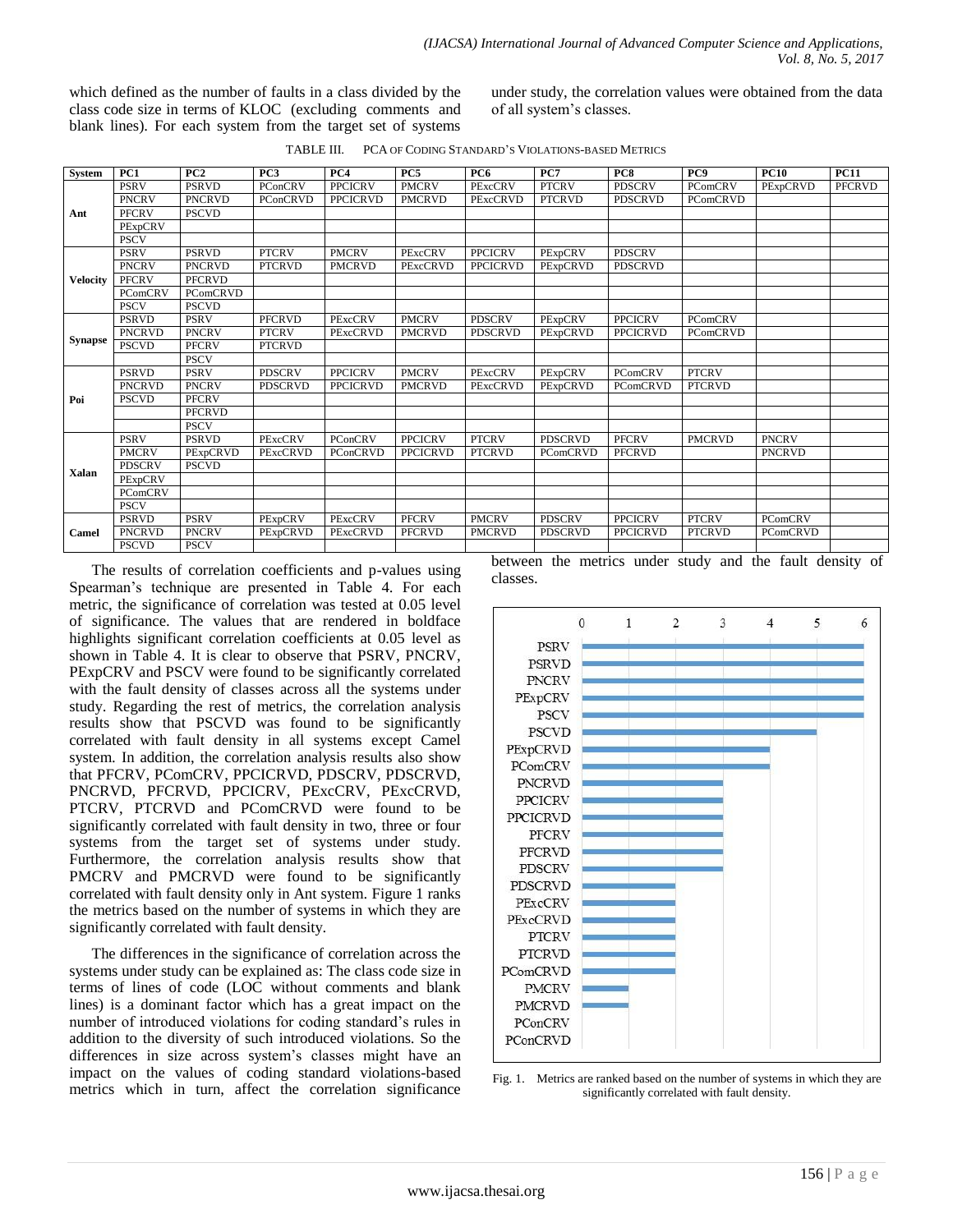which defined as the number of faults in a class divided by the class code size in terms of KLOC (excluding comments and blank lines). For each system from the target set of systems under study, the correlation values were obtained from the data of all system's classes.

| TABLE III. | PCA OF CODING STANDARD'S VIOLATIONS-BASED METRICS |
|------------|---------------------------------------------------|
|------------|---------------------------------------------------|

| <b>System</b>   | PC1            | PC2             | PC <sub>3</sub> | PC4             | PC5             | PC6             | PC7             | PC8             | PC <sub>9</sub> | <b>PC10</b>     | <b>PC11</b>   |
|-----------------|----------------|-----------------|-----------------|-----------------|-----------------|-----------------|-----------------|-----------------|-----------------|-----------------|---------------|
|                 | <b>PSRV</b>    | <b>PSRVD</b>    | PConCRV         | <b>PPCICRV</b>  | <b>PMCRV</b>    | PExcCRV         | <b>PTCRV</b>    | <b>PDSCRV</b>   | <b>PComCRV</b>  | PExpCRVD        | <b>PFCRVD</b> |
|                 | <b>PNCRV</b>   | <b>PNCRVD</b>   | PConCRVD        | <b>PPCICRVD</b> | <b>PMCRVD</b>   | PExcCRVD        | <b>PTCRVD</b>   | <b>PDSCRVD</b>  | <b>PComCRVD</b> |                 |               |
| Ant             | <b>PFCRV</b>   | <b>PSCVD</b>    |                 |                 |                 |                 |                 |                 |                 |                 |               |
|                 | PExpCRV        |                 |                 |                 |                 |                 |                 |                 |                 |                 |               |
|                 | <b>PSCV</b>    |                 |                 |                 |                 |                 |                 |                 |                 |                 |               |
|                 | <b>PSRV</b>    | <b>PSRVD</b>    | <b>PTCRV</b>    | <b>PMCRV</b>    | PExcCRV         | <b>PPCICRV</b>  | PExpCRV         | <b>PDSCRV</b>   |                 |                 |               |
|                 | <b>PNCRV</b>   | <b>PNCRVD</b>   | <b>PTCRVD</b>   | <b>PMCRVD</b>   | <b>PExcCRVD</b> | <b>PPCICRVD</b> | PExpCRVD        | <b>PDSCRVD</b>  |                 |                 |               |
| <b>Velocity</b> | <b>PFCRV</b>   | <b>PFCRVD</b>   |                 |                 |                 |                 |                 |                 |                 |                 |               |
|                 | PComCRV        | <b>PComCRVD</b> |                 |                 |                 |                 |                 |                 |                 |                 |               |
|                 | <b>PSCV</b>    | <b>PSCVD</b>    |                 |                 |                 |                 |                 |                 |                 |                 |               |
|                 | <b>PSRVD</b>   | <b>PSRV</b>     | <b>PFCRVD</b>   | PExcCRV         | <b>PMCRV</b>    | <b>PDSCRV</b>   | PExpCRV         | <b>PPCICRV</b>  | PComCRV         |                 |               |
|                 | <b>PNCRVD</b>  | <b>PNCRV</b>    | <b>PTCRV</b>    | <b>PExcCRVD</b> | <b>PMCRVD</b>   | <b>PDSCRVD</b>  | PExpCRVD        | <b>PPCICRVD</b> | <b>PComCRVD</b> |                 |               |
| <b>Synapse</b>  | <b>PSCVD</b>   | <b>PFCRV</b>    | <b>PTCRVD</b>   |                 |                 |                 |                 |                 |                 |                 |               |
|                 |                | <b>PSCV</b>     |                 |                 |                 |                 |                 |                 |                 |                 |               |
|                 | <b>PSRVD</b>   | <b>PSRV</b>     | <b>PDSCRV</b>   | <b>PPCICRV</b>  | <b>PMCRV</b>    | PExcCRV         | PExpCRV         | <b>PComCRV</b>  | <b>PTCRV</b>    |                 |               |
|                 | <b>PNCRVD</b>  | <b>PNCRV</b>    | <b>PDSCRVD</b>  | <b>PPCICRVD</b> | <b>PMCRVD</b>   | PExcCRVD        | PExpCRVD        | <b>PComCRVD</b> | <b>PTCRVD</b>   |                 |               |
| Poi             | <b>PSCVD</b>   | <b>PFCRV</b>    |                 |                 |                 |                 |                 |                 |                 |                 |               |
|                 |                | <b>PFCRVD</b>   |                 |                 |                 |                 |                 |                 |                 |                 |               |
|                 |                | <b>PSCV</b>     |                 |                 |                 |                 |                 |                 |                 |                 |               |
|                 | <b>PSRV</b>    | <b>PSRVD</b>    | PExcCRV         | <b>PConCRV</b>  | <b>PPCICRV</b>  | <b>PTCRV</b>    | <b>PDSCRVD</b>  | <b>PFCRV</b>    | <b>PMCRVD</b>   | <b>PNCRV</b>    |               |
|                 | <b>PMCRV</b>   | PExpCRVD        | PExcCRVD        | <b>PConCRVD</b> | <b>PPCICRVD</b> | <b>PTCRVD</b>   | <b>PComCRVD</b> | <b>PFCRVD</b>   |                 | <b>PNCRVD</b>   |               |
| Xalan           | <b>PDSCRV</b>  | <b>PSCVD</b>    |                 |                 |                 |                 |                 |                 |                 |                 |               |
|                 | PExpCRV        |                 |                 |                 |                 |                 |                 |                 |                 |                 |               |
|                 | <b>PComCRV</b> |                 |                 |                 |                 |                 |                 |                 |                 |                 |               |
|                 | <b>PSCV</b>    |                 |                 |                 |                 |                 |                 |                 |                 |                 |               |
|                 | <b>PSRVD</b>   | <b>PSRV</b>     | PExpCRV         | PExcCRV         | <b>PFCRV</b>    | <b>PMCRV</b>    | <b>PDSCRV</b>   | <b>PPCICRV</b>  | <b>PTCRV</b>    | PComCRV         |               |
| Camel           | <b>PNCRVD</b>  | <b>PNCRV</b>    | PExpCRVD        | PExcCRVD        | <b>PFCRVD</b>   | <b>PMCRVD</b>   | <b>PDSCRVD</b>  | <b>PPCICRVD</b> | <b>PTCRVD</b>   | <b>PComCRVD</b> |               |
|                 | <b>PSCVD</b>   | <b>PSCV</b>     |                 |                 |                 |                 |                 |                 |                 |                 |               |

The results of correlation coefficients and p-values using Spearman's technique are presented in Table 4. For each metric, the significance of correlation was tested at 0.05 level of significance. The values that are rendered in boldface highlights significant correlation coefficients at 0.05 level as shown in Table 4. It is clear to observe that PSRV, PNCRV, PExpCRV and PSCV were found to be significantly correlated with the fault density of classes across all the systems under study. Regarding the rest of metrics, the correlation analysis results show that PSCVD was found to be significantly correlated with fault density in all systems except Camel system. In addition, the correlation analysis results also show that PFCRV, PComCRV, PPCICRVD, PDSCRV, PDSCRVD, PNCRVD, PFCRVD, PPCICRV, PExcCRV, PExcCRVD, PTCRV, PTCRVD and PComCRVD were found to be significantly correlated with fault density in two, three or four systems from the target set of systems under study. Furthermore, the correlation analysis results show that PMCRV and PMCRVD were found to be significantly correlated with fault density only in Ant system. Figure 1 ranks the metrics based on the number of systems in which they are significantly correlated with fault density.

The differences in the significance of correlation across the systems under study can be explained as: The class code size in terms of lines of code (LOC without comments and blank lines) is a dominant factor which has a great impact on the number of introduced violations for coding standard's rules in addition to the diversity of such introduced violations. So the differences in size across system's classes might have an impact on the values of coding standard violations-based metrics which in turn, affect the correlation significance between the metrics under study and the fault density of classes.



Fig. 1. Metrics are ranked based on the number of systems in which they are significantly correlated with fault density.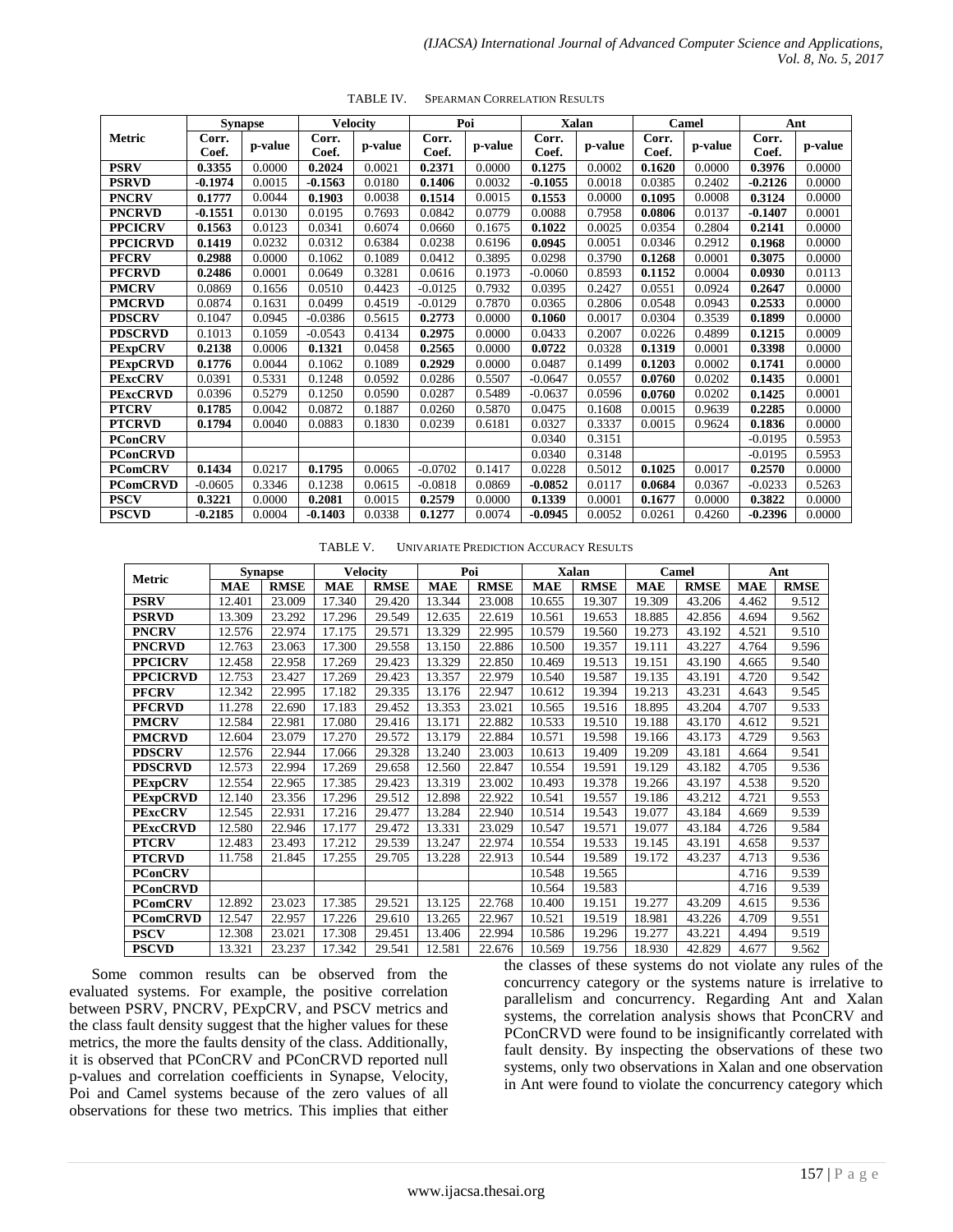|                 |                | <b>Synapse</b> |                | <b>Velocity</b> |                | Poi     |                | <b>Xalan</b> | Camel          |         |                | Ant     |
|-----------------|----------------|----------------|----------------|-----------------|----------------|---------|----------------|--------------|----------------|---------|----------------|---------|
| Metric          | Corr.<br>Coef. | p-value        | Corr.<br>Coef. | p-value         | Corr.<br>Coef. | p-value | Corr.<br>Coef. | p-value      | Corr.<br>Coef. | p-value | Corr.<br>Coef. | p-value |
| <b>PSRV</b>     | 0.3355         | 0.0000         | 0.2024         | 0.0021          | 0.2371         | 0.0000  | 0.1275         | 0.0002       | 0.1620         | 0.0000  | 0.3976         | 0.0000  |
| <b>PSRVD</b>    | $-0.1974$      | 0.0015         | -0.1563        | 0.0180          | 0.1406         | 0.0032  | $-0.1055$      | 0.0018       | 0.0385         | 0.2402  | $-0.2126$      | 0.0000  |
| <b>PNCRV</b>    | 0.1777         | 0.0044         | 0.1903         | 0.0038          | 0.1514         | 0.0015  | 0.1553         | 0.0000       | 0.1095         | 0.0008  | 0.3124         | 0.0000  |
| <b>PNCRVD</b>   | $-0.1551$      | 0.0130         | 0.0195         | 0.7693          | 0.0842         | 0.0779  | 0.0088         | 0.7958       | 0.0806         | 0.0137  | $-0.1407$      | 0.0001  |
| <b>PPCICRV</b>  | 0.1563         | 0.0123         | 0.0341         | 0.6074          | 0.0660         | 0.1675  | 0.1022         | 0.0025       | 0.0354         | 0.2804  | 0.2141         | 0.0000  |
| <b>PPCICRVD</b> | 0.1419         | 0.0232         | 0.0312         | 0.6384          | 0.0238         | 0.6196  | 0.0945         | 0.0051       | 0.0346         | 0.2912  | 0.1968         | 0.0000  |
| <b>PFCRV</b>    | 0.2988         | 0.0000         | 0.1062         | 0.1089          | 0.0412         | 0.3895  | 0.0298         | 0.3790       | 0.1268         | 0.0001  | 0.3075         | 0.0000  |
| <b>PFCRVD</b>   | 0.2486         | 0.0001         | 0.0649         | 0.3281          | 0.0616         | 0.1973  | $-0.0060$      | 0.8593       | 0.1152         | 0.0004  | 0.0930         | 0.0113  |
| <b>PMCRV</b>    | 0.0869         | 0.1656         | 0.0510         | 0.4423          | $-0.0125$      | 0.7932  | 0.0395         | 0.2427       | 0.0551         | 0.0924  | 0.2647         | 0.0000  |
| <b>PMCRVD</b>   | 0.0874         | 0.1631         | 0.0499         | 0.4519          | $-0.0129$      | 0.7870  | 0.0365         | 0.2806       | 0.0548         | 0.0943  | 0.2533         | 0.0000  |
| <b>PDSCRV</b>   | 0.1047         | 0.0945         | $-0.0386$      | 0.5615          | 0.2773         | 0.0000  | 0.1060         | 0.0017       | 0.0304         | 0.3539  | 0.1899         | 0.0000  |
| <b>PDSCRVD</b>  | 0.1013         | 0.1059         | $-0.0543$      | 0.4134          | 0.2975         | 0.0000  | 0.0433         | 0.2007       | 0.0226         | 0.4899  | 0.1215         | 0.0009  |
| <b>PExpCRV</b>  | 0.2138         | 0.0006         | 0.1321         | 0.0458          | 0.2565         | 0.0000  | 0.0722         | 0.0328       | 0.1319         | 0.0001  | 0.3398         | 0.0000  |
| <b>PExpCRVD</b> | 0.1776         | 0.0044         | 0.1062         | 0.1089          | 0.2929         | 0.0000  | 0.0487         | 0.1499       | 0.1203         | 0.0002  | 0.1741         | 0.0000  |
| <b>PExcCRV</b>  | 0.0391         | 0.5331         | 0.1248         | 0.0592          | 0.0286         | 0.5507  | $-0.0647$      | 0.0557       | 0.0760         | 0.0202  | 0.1435         | 0.0001  |
| <b>PExcCRVD</b> | 0.0396         | 0.5279         | 0.1250         | 0.0590          | 0.0287         | 0.5489  | $-0.0637$      | 0.0596       | 0.0760         | 0.0202  | 0.1425         | 0.0001  |
| <b>PTCRV</b>    | 0.1785         | 0.0042         | 0.0872         | 0.1887          | 0.0260         | 0.5870  | 0.0475         | 0.1608       | 0.0015         | 0.9639  | 0.2285         | 0.0000  |
| <b>PTCRVD</b>   | 0.1794         | 0.0040         | 0.0883         | 0.1830          | 0.0239         | 0.6181  | 0.0327         | 0.3337       | 0.0015         | 0.9624  | 0.1836         | 0.0000  |
| <b>PConCRV</b>  |                |                |                |                 |                |         | 0.0340         | 0.3151       |                |         | $-0.0195$      | 0.5953  |
| <b>PConCRVD</b> |                |                |                |                 |                |         | 0.0340         | 0.3148       |                |         | $-0.0195$      | 0.5953  |
| <b>PComCRV</b>  | 0.1434         | 0.0217         | 0.1795         | 0.0065          | $-0.0702$      | 0.1417  | 0.0228         | 0.5012       | 0.1025         | 0.0017  | 0.2570         | 0.0000  |
| <b>PComCRVD</b> | $-0.0605$      | 0.3346         | 0.1238         | 0.0615          | $-0.0818$      | 0.0869  | $-0.0852$      | 0.0117       | 0.0684         | 0.0367  | $-0.0233$      | 0.5263  |
| <b>PSCV</b>     | 0.3221         | 0.0000         | 0.2081         | 0.0015          | 0.2579         | 0.0000  | 0.1339         | 0.0001       | 0.1677         | 0.0000  | 0.3822         | 0.0000  |
| <b>PSCVD</b>    | $-0.2185$      | 0.0004         | $-0.1403$      | 0.0338          | 0.1277         | 0.0074  | $-0.0945$      | 0.0052       | 0.0261         | 0.4260  | $-0.2396$      | 0.0000  |

TABLE IV. SPEARMAN CORRELATION RESULTS

TABLE V. UNIVARIATE PREDICTION ACCURACY RESULTS

|                 | <b>Synapse</b> |             |            | <b>Velocity</b> |            | Poi         |            | Xalan       |            | Camel       | Ant        |             |
|-----------------|----------------|-------------|------------|-----------------|------------|-------------|------------|-------------|------------|-------------|------------|-------------|
| Metric          | <b>MAE</b>     | <b>RMSE</b> | <b>MAE</b> | <b>RMSE</b>     | <b>MAE</b> | <b>RMSE</b> | <b>MAE</b> | <b>RMSE</b> | <b>MAE</b> | <b>RMSE</b> | <b>MAE</b> | <b>RMSE</b> |
| <b>PSRV</b>     | 12.401         | 23.009      | 17.340     | 29.420          | 13.344     | 23.008      | 10.655     | 19.307      | 19.309     | 43.206      | 4.462      | 9.512       |
| <b>PSRVD</b>    | 13.309         | 23.292      | 17.296     | 29.549          | 12.635     | 22.619      | 10.561     | 19.653      | 18.885     | 42.856      | 4.694      | 9.562       |
| <b>PNCRV</b>    | 12.576         | 22.974      | 17.175     | 29.571          | 13.329     | 22.995      | 10.579     | 19.560      | 19.273     | 43.192      | 4.521      | 9.510       |
| <b>PNCRVD</b>   | 12.763         | 23.063      | 17.300     | 29.558          | 13.150     | 22.886      | 10.500     | 19.357      | 19.111     | 43.227      | 4.764      | 9.596       |
| <b>PPCICRV</b>  | 12.458         | 22.958      | 17.269     | 29.423          | 13.329     | 22.850      | 10.469     | 19.513      | 19.151     | 43.190      | 4.665      | 9.540       |
| <b>PPCICRVD</b> | 12.753         | 23.427      | 17.269     | 29.423          | 13.357     | 22.979      | 10.540     | 19.587      | 19.135     | 43.191      | 4.720      | 9.542       |
| <b>PFCRV</b>    | 12.342         | 22.995      | 17.182     | 29.335          | 13.176     | 22.947      | 10.612     | 19.394      | 19.213     | 43.231      | 4.643      | 9.545       |
| <b>PFCRVD</b>   | 11.278         | 22.690      | 17.183     | 29.452          | 13.353     | 23.021      | 10.565     | 19.516      | 18.895     | 43.204      | 4.707      | 9.533       |
| <b>PMCRV</b>    | 12.584         | 22.981      | 17.080     | 29.416          | 13.171     | 22.882      | 10.533     | 19.510      | 19.188     | 43.170      | 4.612      | 9.521       |
| <b>PMCRVD</b>   | 12.604         | 23.079      | 17.270     | 29.572          | 13.179     | 22.884      | 10.571     | 19.598      | 19.166     | 43.173      | 4.729      | 9.563       |
| <b>PDSCRV</b>   | 12.576         | 22.944      | 17.066     | 29.328          | 13.240     | 23.003      | 10.613     | 19.409      | 19.209     | 43.181      | 4.664      | 9.541       |
| <b>PDSCRVD</b>  | 12.573         | 22.994      | 17.269     | 29.658          | 12.560     | 22.847      | 10.554     | 19.591      | 19.129     | 43.182      | 4.705      | 9.536       |
| <b>PExpCRV</b>  | 12.554         | 22.965      | 17.385     | 29.423          | 13.319     | 23.002      | 10.493     | 19.378      | 19.266     | 43.197      | 4.538      | 9.520       |
| <b>PExpCRVD</b> | 12.140         | 23.356      | 17.296     | 29.512          | 12.898     | 22.922      | 10.541     | 19.557      | 19.186     | 43.212      | 4.721      | 9.553       |
| <b>PExcCRV</b>  | 12.545         | 22.931      | 17.216     | 29.477          | 13.284     | 22.940      | 10.514     | 19.543      | 19.077     | 43.184      | 4.669      | 9.539       |
| <b>PExcCRVD</b> | 12.580         | 22.946      | 17.177     | 29.472          | 13.331     | 23.029      | 10.547     | 19.571      | 19.077     | 43.184      | 4.726      | 9.584       |
| <b>PTCRV</b>    | 12.483         | 23.493      | 17.212     | 29.539          | 13.247     | 22.974      | 10.554     | 19.533      | 19.145     | 43.191      | 4.658      | 9.537       |
| <b>PTCRVD</b>   | 11.758         | 21.845      | 17.255     | 29.705          | 13.228     | 22.913      | 10.544     | 19.589      | 19.172     | 43.237      | 4.713      | 9.536       |
| <b>PConCRV</b>  |                |             |            |                 |            |             | 10.548     | 19.565      |            |             | 4.716      | 9.539       |
| <b>PConCRVD</b> |                |             |            |                 |            |             | 10.564     | 19.583      |            |             | 4.716      | 9.539       |
| <b>PComCRV</b>  | 12.892         | 23.023      | 17.385     | 29.521          | 13.125     | 22.768      | 10.400     | 19.151      | 19.277     | 43.209      | 4.615      | 9.536       |
| <b>PComCRVD</b> | 12.547         | 22.957      | 17.226     | 29.610          | 13.265     | 22.967      | 10.521     | 19.519      | 18.981     | 43.226      | 4.709      | 9.551       |
| <b>PSCV</b>     | 12.308         | 23.021      | 17.308     | 29.451          | 13.406     | 22.994      | 10.586     | 19.296      | 19.277     | 43.221      | 4.494      | 9.519       |
| <b>PSCVD</b>    | 13.321         | 23.237      | 17.342     | 29.541          | 12.581     | 22.676      | 10.569     | 19.756      | 18.930     | 42.829      | 4.677      | 9.562       |

Some common results can be observed from the evaluated systems. For example, the positive correlation between PSRV, PNCRV, PExpCRV, and PSCV metrics and the class fault density suggest that the higher values for these metrics, the more the faults density of the class. Additionally, it is observed that PConCRV and PConCRVD reported null p-values and correlation coefficients in Synapse, Velocity, Poi and Camel systems because of the zero values of all observations for these two metrics. This implies that either

the classes of these systems do not violate any rules of the concurrency category or the systems nature is irrelative to parallelism and concurrency. Regarding Ant and Xalan systems, the correlation analysis shows that PconCRV and PConCRVD were found to be insignificantly correlated with fault density. By inspecting the observations of these two systems, only two observations in Xalan and one observation in Ant were found to violate the concurrency category which